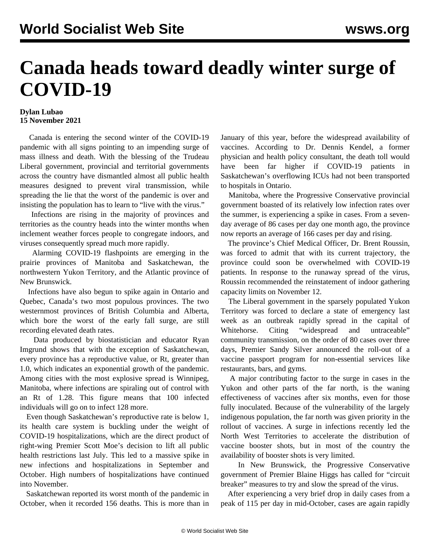## **Canada heads toward deadly winter surge of COVID-19**

## **Dylan Lubao 15 November 2021**

 Canada is entering the second winter of the COVID-19 pandemic with all signs pointing to an impending surge of mass illness and death. With the blessing of the Trudeau Liberal government, provincial and territorial governments across the country have dismantled almost all public health measures designed to prevent viral transmission, while spreading the lie that the worst of the pandemic is over and insisting the population has to learn to "live with the virus."

 Infections are rising in the majority of provinces and territories as the country heads into the winter months when inclement weather forces people to congregate indoors, and viruses consequently spread much more rapidly.

 Alarming COVID-19 flashpoints are emerging in the prairie provinces of Manitoba and Saskatchewan, the northwestern Yukon Territory, and the Atlantic province of New Brunswick.

 Infections have also begun to spike again in Ontario and Quebec, Canada's two most populous provinces. The two westernmost provinces of British Columbia and Alberta, which bore the worst of the early fall surge, are still recording elevated death rates.

 Data produced by biostatistician and educator Ryan Imgrund shows that with the exception of Saskatchewan, every province has a reproductive value, or Rt, greater than 1.0, which indicates an exponential growth of the pandemic. Among cities with the most explosive spread is Winnipeg, Manitoba, where infections are spiraling out of control with an Rt of 1.28. This figure means that 100 infected individuals will go on to infect 128 more.

 Even though Saskatchewan's reproductive rate is below 1, its health care system is buckling under the weight of COVID-19 hospitalizations, which are the direct product of right-wing Premier Scott Moe's decision to lift all public health restrictions last July. This led to a massive spike in new infections and hospitalizations in September and October. High numbers of hospitalizations have continued into November.

 Saskatchewan reported its worst month of the pandemic in October, when it recorded 156 deaths. This is more than in January of this year, before the widespread availability of vaccines. According to Dr. Dennis Kendel, a former physician and health policy consultant, the death toll would have been far higher if COVID-19 patients in Saskatchewan's overflowing ICUs had not been transported to hospitals in Ontario.

 Manitoba, where the Progressive Conservative provincial government boasted of its relatively low infection rates over the summer, is experiencing a spike in cases. From a sevenday average of 86 cases per day one month ago, the province now reports an average of 166 cases per day and rising.

 The province's Chief Medical Officer, Dr. Brent Roussin, was forced to admit that with its current trajectory, the province could soon be overwhelmed with COVID-19 patients. In response to the runaway spread of the virus, Roussin recommended the reinstatement of indoor gathering capacity limits on November 12.

 The Liberal government in the sparsely populated Yukon Territory was forced to declare a state of emergency last week as an outbreak rapidly spread in the capital of Whitehorse. Citing "widespread and untraceable" community transmission, on the order of 80 cases over three days, Premier Sandy Silver announced the roll-out of a vaccine passport program for non-essential services like restaurants, bars, and gyms.

 A major contributing factor to the surge in cases in the Yukon and other parts of the far north, is the waning effectiveness of vaccines after six months, even for those fully inoculated. Because of the vulnerability of the largely indigenous population, the far north was given priority in the rollout of vaccines. A surge in infections recently led the North West Territories to accelerate the distribution of vaccine booster shots, but in most of the country the availability of booster shots is very limited.

 In New Brunswick, the Progressive Conservative government of Premier Blaine Higgs has called for "circuit breaker" measures to try and slow the spread of the virus.

 After experiencing a very brief drop in daily cases from a peak of 115 per day in mid-October, cases are again rapidly